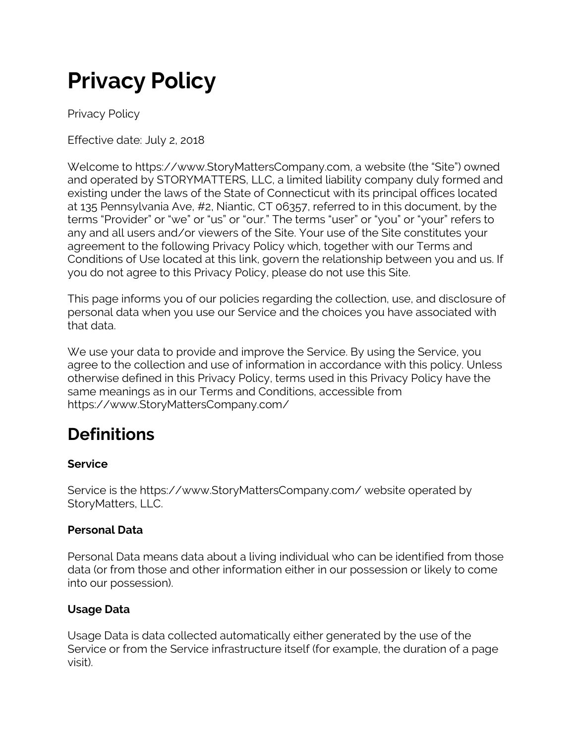# **Privacy Policy**

Privacy Policy

Effective date: July 2, 2018

Welcome to https://www.StoryMattersCompany.com, a website (the "Site") owned and operated by STORYMATTERS, LLC, a limited liability company duly formed and existing under the laws of the State of Connecticut with its principal offices located at 135 Pennsylvania Ave, #2, Niantic, CT 06357, referred to in this document, by the terms "Provider" or "we" or "us" or "our." The terms "user" or "you" or "your" refers to any and all users and/or viewers of the Site. Your use of the Site constitutes your agreement to the following Privacy Policy which, together with our Terms and Conditions of Use located at this link, govern the relationship between you and us. If you do not agree to this Privacy Policy, please do not use this Site.

This page informs you of our policies regarding the collection, use, and disclosure of personal data when you use our Service and the choices you have associated with that data.

We use your data to provide and improve the Service. By using the Service, you agree to the collection and use of information in accordance with this policy. Unless otherwise defined in this Privacy Policy, terms used in this Privacy Policy have the same meanings as in our Terms and Conditions, accessible from https://www.StoryMattersCompany.com/

# **Definitions**

### **Service**

Service is the https://www.StoryMattersCompany.com/ website operated by StoryMatters, LLC.

### **Personal Data**

Personal Data means data about a living individual who can be identified from those data (or from those and other information either in our possession or likely to come into our possession).

### **Usage Data**

Usage Data is data collected automatically either generated by the use of the Service or from the Service infrastructure itself (for example, the duration of a page visit).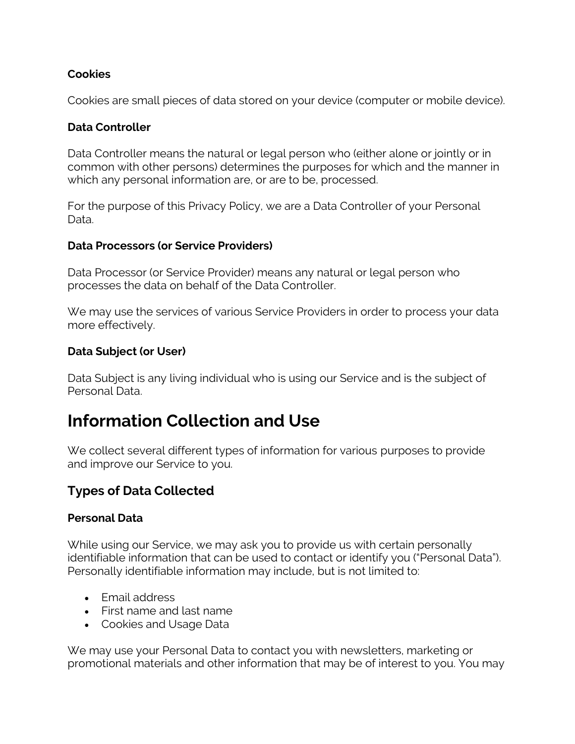#### **Cookies**

Cookies are small pieces of data stored on your device (computer or mobile device).

#### **Data Controller**

Data Controller means the natural or legal person who (either alone or jointly or in common with other persons) determines the purposes for which and the manner in which any personal information are, or are to be, processed.

For the purpose of this Privacy Policy, we are a Data Controller of your Personal Data.

#### **Data Processors (or Service Providers)**

Data Processor (or Service Provider) means any natural or legal person who processes the data on behalf of the Data Controller.

We may use the services of various Service Providers in order to process your data more effectively.

#### **Data Subject (or User)**

Data Subject is any living individual who is using our Service and is the subject of Personal Data.

### **Information Collection and Use**

We collect several different types of information for various purposes to provide and improve our Service to you.

### **Types of Data Collected**

#### **Personal Data**

While using our Service, we may ask you to provide us with certain personally identifiable information that can be used to contact or identify you ("Personal Data"). Personally identifiable information may include, but is not limited to:

- Email address
- First name and last name
- Cookies and Usage Data

We may use your Personal Data to contact you with newsletters, marketing or promotional materials and other information that may be of interest to you. You may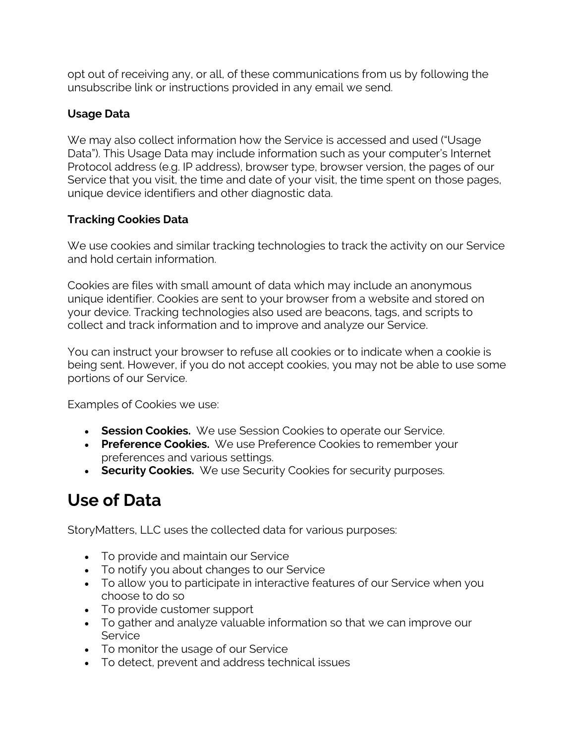opt out of receiving any, or all, of these communications from us by following the unsubscribe link or instructions provided in any email we send.

### **Usage Data**

We may also collect information how the Service is accessed and used ("Usage Data"). This Usage Data may include information such as your computer's Internet Protocol address (e.g. IP address), browser type, browser version, the pages of our Service that you visit, the time and date of your visit, the time spent on those pages, unique device identifiers and other diagnostic data.

### **Tracking Cookies Data**

We use cookies and similar tracking technologies to track the activity on our Service and hold certain information.

Cookies are files with small amount of data which may include an anonymous unique identifier. Cookies are sent to your browser from a website and stored on your device. Tracking technologies also used are beacons, tags, and scripts to collect and track information and to improve and analyze our Service.

You can instruct your browser to refuse all cookies or to indicate when a cookie is being sent. However, if you do not accept cookies, you may not be able to use some portions of our Service.

Examples of Cookies we use:

- **Session Cookies.** We use Session Cookies to operate our Service.
- **Preference Cookies.** We use Preference Cookies to remember your preferences and various settings.
- **Security Cookies.** We use Security Cookies for security purposes.

### **Use of Data**

StoryMatters, LLC uses the collected data for various purposes:

- To provide and maintain our Service
- To notify you about changes to our Service
- To allow you to participate in interactive features of our Service when you choose to do so
- To provide customer support
- To gather and analyze valuable information so that we can improve our **Service**
- To monitor the usage of our Service
- To detect, prevent and address technical issues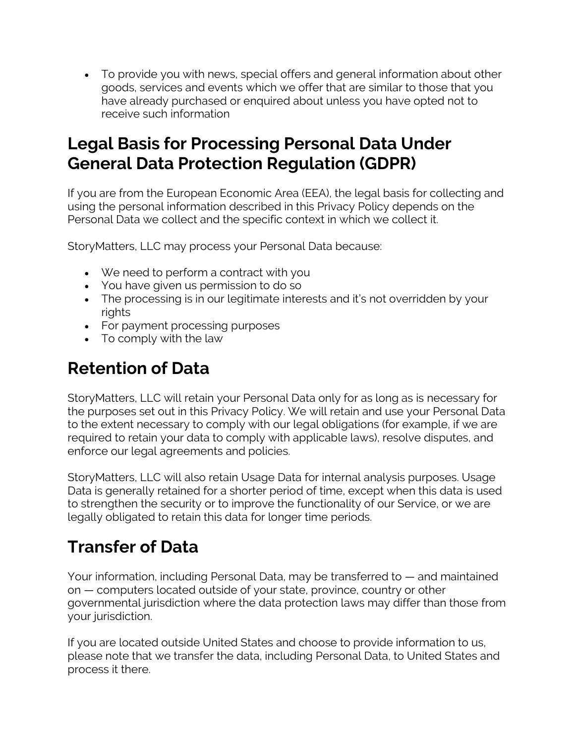To provide you with news, special offers and general information about other goods, services and events which we offer that are similar to those that you have already purchased or enquired about unless you have opted not to receive such information

### **Legal Basis for Processing Personal Data Under General Data Protection Regulation (GDPR)**

If you are from the European Economic Area (EEA), the legal basis for collecting and using the personal information described in this Privacy Policy depends on the Personal Data we collect and the specific context in which we collect it.

StoryMatters, LLC may process your Personal Data because:

- We need to perform a contract with you
- You have given us permission to do so
- The processing is in our legitimate interests and it's not overridden by your rights
- For payment processing purposes
- To comply with the law

# **Retention of Data**

StoryMatters, LLC will retain your Personal Data only for as long as is necessary for the purposes set out in this Privacy Policy. We will retain and use your Personal Data to the extent necessary to comply with our legal obligations (for example, if we are required to retain your data to comply with applicable laws), resolve disputes, and enforce our legal agreements and policies.

StoryMatters, LLC will also retain Usage Data for internal analysis purposes. Usage Data is generally retained for a shorter period of time, except when this data is used to strengthen the security or to improve the functionality of our Service, or we are legally obligated to retain this data for longer time periods.

# **Transfer of Data**

Your information, including Personal Data, may be transferred to — and maintained on — computers located outside of your state, province, country or other governmental jurisdiction where the data protection laws may differ than those from your jurisdiction.

If you are located outside United States and choose to provide information to us, please note that we transfer the data, including Personal Data, to United States and process it there.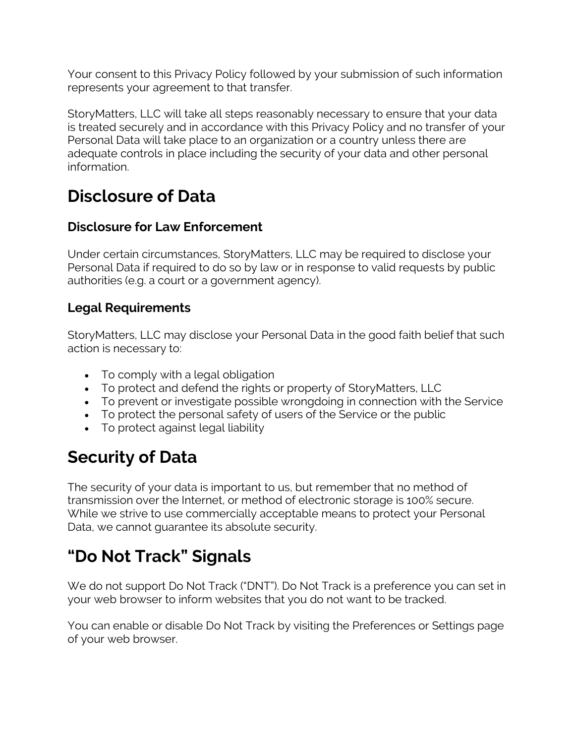Your consent to this Privacy Policy followed by your submission of such information represents your agreement to that transfer.

StoryMatters, LLC will take all steps reasonably necessary to ensure that your data is treated securely and in accordance with this Privacy Policy and no transfer of your Personal Data will take place to an organization or a country unless there are adequate controls in place including the security of your data and other personal information.

### **Disclosure of Data**

### **Disclosure for Law Enforcement**

Under certain circumstances, StoryMatters, LLC may be required to disclose your Personal Data if required to do so by law or in response to valid requests by public authorities (e.g. a court or a government agency).

### **Legal Requirements**

StoryMatters, LLC may disclose your Personal Data in the good faith belief that such action is necessary to:

- To comply with a legal obligation
- To protect and defend the rights or property of StoryMatters, LLC
- To prevent or investigate possible wrongdoing in connection with the Service
- To protect the personal safety of users of the Service or the public
- To protect against legal liability

### **Security of Data**

The security of your data is important to us, but remember that no method of transmission over the Internet, or method of electronic storage is 100% secure. While we strive to use commercially acceptable means to protect your Personal Data, we cannot guarantee its absolute security.

# **"Do Not Track" Signals**

We do not support Do Not Track ("DNT"). Do Not Track is a preference you can set in your web browser to inform websites that you do not want to be tracked.

You can enable or disable Do Not Track by visiting the Preferences or Settings page of your web browser.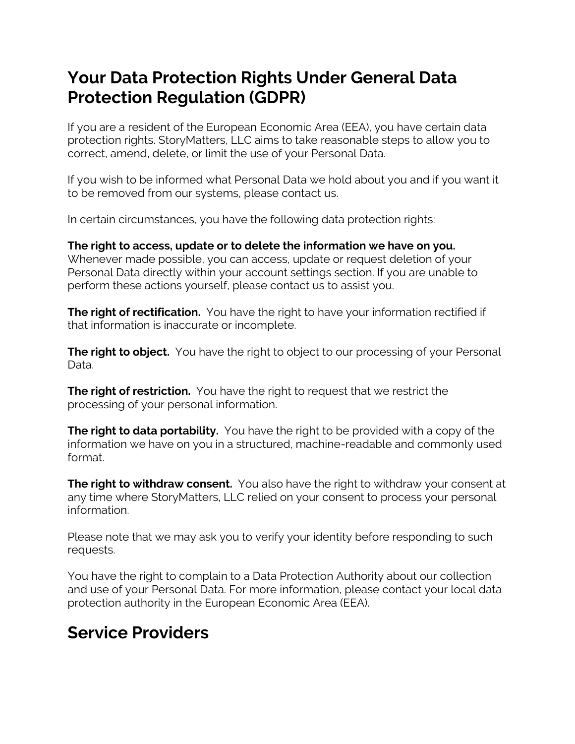### **Your Data Protection Rights Under General Data Protection Regulation (GDPR)**

If you are a resident of the European Economic Area (EEA), you have certain data protection rights. StoryMatters, LLC aims to take reasonable steps to allow you to correct, amend, delete, or limit the use of your Personal Data.

If you wish to be informed what Personal Data we hold about you and if you want it to be removed from our systems, please contact us.

In certain circumstances, you have the following data protection rights:

**The right to access, update or to delete the information we have on you.**  Whenever made possible, you can access, update or request deletion of your Personal Data directly within your account settings section. If you are unable to perform these actions yourself, please contact us to assist you.

**The right of rectification.** You have the right to have your information rectified if that information is inaccurate or incomplete.

**The right to object.** You have the right to object to our processing of your Personal Data.

**The right of restriction.** You have the right to request that we restrict the processing of your personal information.

**The right to data portability.** You have the right to be provided with a copy of the information we have on you in a structured, machine-readable and commonly used format.

**The right to withdraw consent.** You also have the right to withdraw your consent at any time where StoryMatters, LLC relied on your consent to process your personal information.

Please note that we may ask you to verify your identity before responding to such requests.

You have the right to complain to a Data Protection Authority about our collection and use of your Personal Data. For more information, please contact your local data protection authority in the European Economic Area (EEA).

### **Service Providers**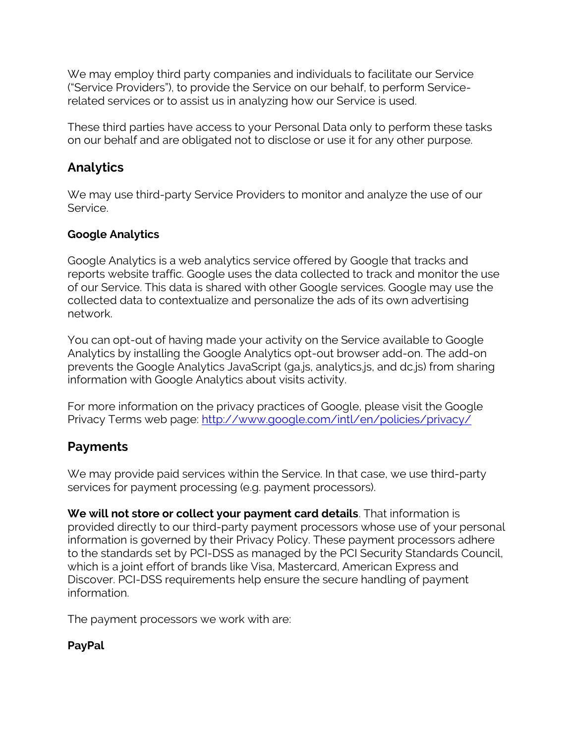We may employ third party companies and individuals to facilitate our Service ("Service Providers"), to provide the Service on our behalf, to perform Servicerelated services or to assist us in analyzing how our Service is used.

These third parties have access to your Personal Data only to perform these tasks on our behalf and are obligated not to disclose or use it for any other purpose.

### **Analytics**

We may use third-party Service Providers to monitor and analyze the use of our Service.

### **Google Analytics**

Google Analytics is a web analytics service offered by Google that tracks and reports website traffic. Google uses the data collected to track and monitor the use of our Service. This data is shared with other Google services. Google may use the collected data to contextualize and personalize the ads of its own advertising network.

You can opt-out of having made your activity on the Service available to Google Analytics by installing the Google Analytics opt-out browser add-on. The add-on prevents the Google Analytics JavaScript (ga.js, analytics.js, and dc.js) from sharing information with Google Analytics about visits activity.

For more information on the privacy practices of Google, please visit the Google Privacy Terms web page:<http://www.google.com/intl/en/policies/privacy/>

### **Payments**

We may provide paid services within the Service. In that case, we use third-party services for payment processing (e.g. payment processors).

**We will not store or collect your payment card details**. That information is provided directly to our third-party payment processors whose use of your personal information is governed by their Privacy Policy. These payment processors adhere to the standards set by PCI-DSS as managed by the PCI Security Standards Council, which is a joint effort of brands like Visa, Mastercard, American Express and Discover. PCI-DSS requirements help ensure the secure handling of payment information.

The payment processors we work with are:

### **PayPal**